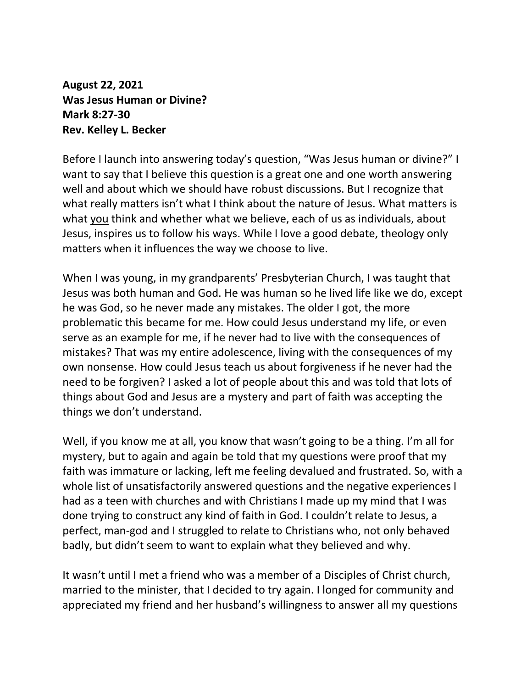**August 22, 2021 Was Jesus Human or Divine? Mark 8:27-30 Rev. Kelley L. Becker**

Before I launch into answering today's question, "Was Jesus human or divine?" I want to say that I believe this question is a great one and one worth answering well and about which we should have robust discussions. But I recognize that what really matters isn't what I think about the nature of Jesus. What matters is what you think and whether what we believe, each of us as individuals, about Jesus, inspires us to follow his ways. While I love a good debate, theology only matters when it influences the way we choose to live.

When I was young, in my grandparents' Presbyterian Church, I was taught that Jesus was both human and God. He was human so he lived life like we do, except he was God, so he never made any mistakes. The older I got, the more problematic this became for me. How could Jesus understand my life, or even serve as an example for me, if he never had to live with the consequences of mistakes? That was my entire adolescence, living with the consequences of my own nonsense. How could Jesus teach us about forgiveness if he never had the need to be forgiven? I asked a lot of people about this and was told that lots of things about God and Jesus are a mystery and part of faith was accepting the things we don't understand.

Well, if you know me at all, you know that wasn't going to be a thing. I'm all for mystery, but to again and again be told that my questions were proof that my faith was immature or lacking, left me feeling devalued and frustrated. So, with a whole list of unsatisfactorily answered questions and the negative experiences I had as a teen with churches and with Christians I made up my mind that I was done trying to construct any kind of faith in God. I couldn't relate to Jesus, a perfect, man-god and I struggled to relate to Christians who, not only behaved badly, but didn't seem to want to explain what they believed and why.

It wasn't until I met a friend who was a member of a Disciples of Christ church, married to the minister, that I decided to try again. I longed for community and appreciated my friend and her husband's willingness to answer all my questions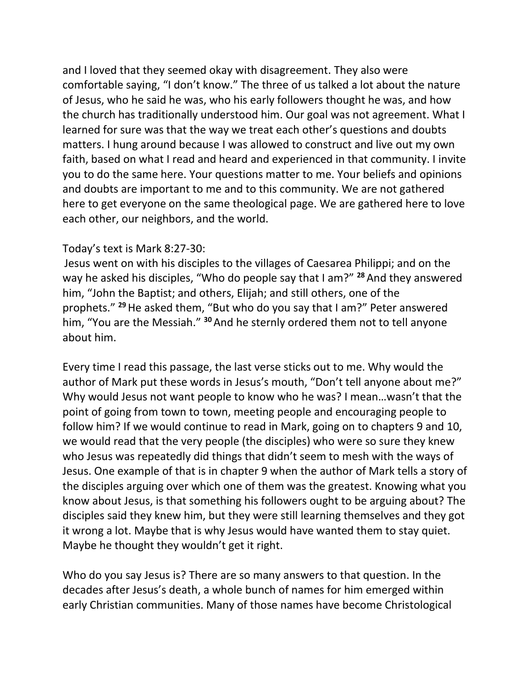and I loved that they seemed okay with disagreement. They also were comfortable saying, "I don't know." The three of us talked a lot about the nature of Jesus, who he said he was, who his early followers thought he was, and how the church has traditionally understood him. Our goal was not agreement. What I learned for sure was that the way we treat each other's questions and doubts matters. I hung around because I was allowed to construct and live out my own faith, based on what I read and heard and experienced in that community. I invite you to do the same here. Your questions matter to me. Your beliefs and opinions and doubts are important to me and to this community. We are not gathered here to get everyone on the same theological page. We are gathered here to love each other, our neighbors, and the world.

## Today's text is Mark 8:27-30:

Jesus went on with his disciples to the villages of Caesarea Philippi; and on the way he asked his disciples, "Who do people say that I am?" **<sup>28</sup>** And they answered him, "John the Baptist; and others, Elijah; and still others, one of the prophets." **<sup>29</sup>**He asked them, "But who do you say that I am?" Peter answered him, "You are the Messiah." **<sup>30</sup>**And he sternly ordered them not to tell anyone about him.

Every time I read this passage, the last verse sticks out to me. Why would the author of Mark put these words in Jesus's mouth, "Don't tell anyone about me?" Why would Jesus not want people to know who he was? I mean…wasn't that the point of going from town to town, meeting people and encouraging people to follow him? If we would continue to read in Mark, going on to chapters 9 and 10, we would read that the very people (the disciples) who were so sure they knew who Jesus was repeatedly did things that didn't seem to mesh with the ways of Jesus. One example of that is in chapter 9 when the author of Mark tells a story of the disciples arguing over which one of them was the greatest. Knowing what you know about Jesus, is that something his followers ought to be arguing about? The disciples said they knew him, but they were still learning themselves and they got it wrong a lot. Maybe that is why Jesus would have wanted them to stay quiet. Maybe he thought they wouldn't get it right.

Who do you say Jesus is? There are so many answers to that question. In the decades after Jesus's death, a whole bunch of names for him emerged within early Christian communities. Many of those names have become Christological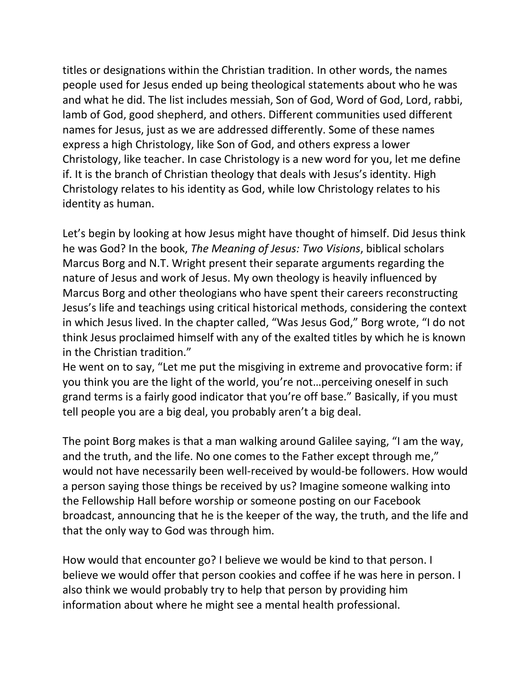titles or designations within the Christian tradition. In other words, the names people used for Jesus ended up being theological statements about who he was and what he did. The list includes messiah, Son of God, Word of God, Lord, rabbi, lamb of God, good shepherd, and others. Different communities used different names for Jesus, just as we are addressed differently. Some of these names express a high Christology, like Son of God, and others express a lower Christology, like teacher. In case Christology is a new word for you, let me define if. It is the branch of Christian theology that deals with Jesus's identity. High Christology relates to his identity as God, while low Christology relates to his identity as human.

Let's begin by looking at how Jesus might have thought of himself. Did Jesus think he was God? In the book, *The Meaning of Jesus: Two Visions*, biblical scholars Marcus Borg and N.T. Wright present their separate arguments regarding the nature of Jesus and work of Jesus. My own theology is heavily influenced by Marcus Borg and other theologians who have spent their careers reconstructing Jesus's life and teachings using critical historical methods, considering the context in which Jesus lived. In the chapter called, "Was Jesus God," Borg wrote, "I do not think Jesus proclaimed himself with any of the exalted titles by which he is known in the Christian tradition."

He went on to say, "Let me put the misgiving in extreme and provocative form: if you think you are the light of the world, you're not…perceiving oneself in such grand terms is a fairly good indicator that you're off base." Basically, if you must tell people you are a big deal, you probably aren't a big deal.

The point Borg makes is that a man walking around Galilee saying, "I am the way, and the truth, and the life. No one comes to the Father except through me," would not have necessarily been well-received by would-be followers. How would a person saying those things be received by us? Imagine someone walking into the Fellowship Hall before worship or someone posting on our Facebook broadcast, announcing that he is the keeper of the way, the truth, and the life and that the only way to God was through him.

How would that encounter go? I believe we would be kind to that person. I believe we would offer that person cookies and coffee if he was here in person. I also think we would probably try to help that person by providing him information about where he might see a mental health professional.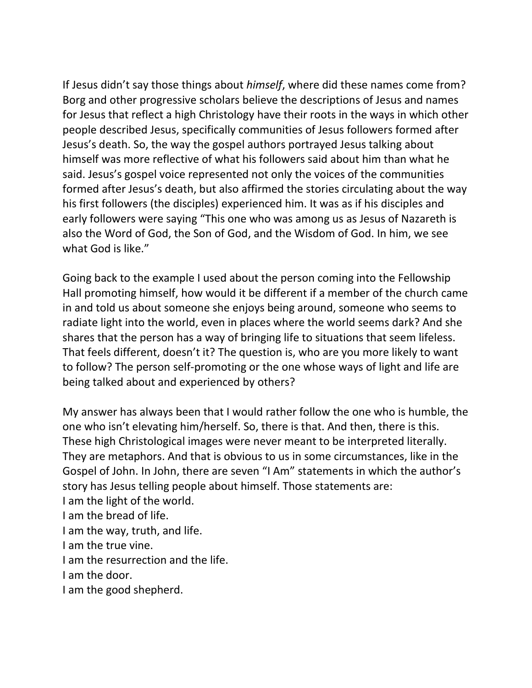If Jesus didn't say those things about *himself*, where did these names come from? Borg and other progressive scholars believe the descriptions of Jesus and names for Jesus that reflect a high Christology have their roots in the ways in which other people described Jesus, specifically communities of Jesus followers formed after Jesus's death. So, the way the gospel authors portrayed Jesus talking about himself was more reflective of what his followers said about him than what he said. Jesus's gospel voice represented not only the voices of the communities formed after Jesus's death, but also affirmed the stories circulating about the way his first followers (the disciples) experienced him. It was as if his disciples and early followers were saying "This one who was among us as Jesus of Nazareth is also the Word of God, the Son of God, and the Wisdom of God. In him, we see what God is like."

Going back to the example I used about the person coming into the Fellowship Hall promoting himself, how would it be different if a member of the church came in and told us about someone she enjoys being around, someone who seems to radiate light into the world, even in places where the world seems dark? And she shares that the person has a way of bringing life to situations that seem lifeless. That feels different, doesn't it? The question is, who are you more likely to want to follow? The person self-promoting or the one whose ways of light and life are being talked about and experienced by others?

My answer has always been that I would rather follow the one who is humble, the one who isn't elevating him/herself. So, there is that. And then, there is this. These high Christological images were never meant to be interpreted literally. They are metaphors. And that is obvious to us in some circumstances, like in the Gospel of John. In John, there are seven "I Am" statements in which the author's story has Jesus telling people about himself. Those statements are: I am the light of the world. I am the bread of life. I am the way, truth, and life. I am the true vine. I am the resurrection and the life. I am the door. I am the good shepherd.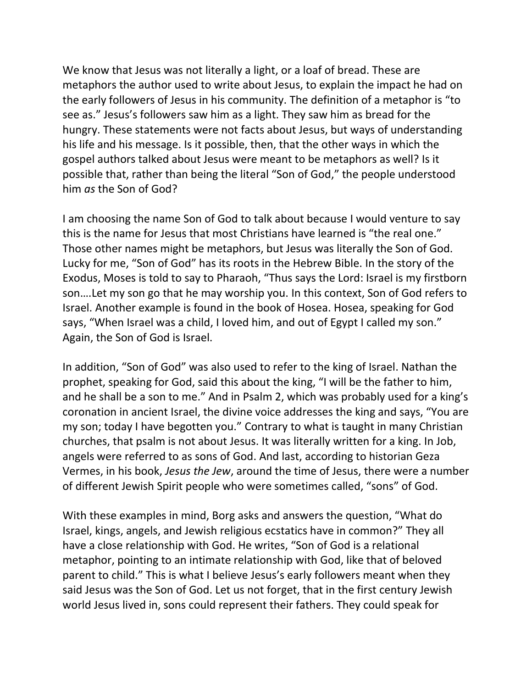We know that Jesus was not literally a light, or a loaf of bread. These are metaphors the author used to write about Jesus, to explain the impact he had on the early followers of Jesus in his community. The definition of a metaphor is "to see as." Jesus's followers saw him as a light. They saw him as bread for the hungry. These statements were not facts about Jesus, but ways of understanding his life and his message. Is it possible, then, that the other ways in which the gospel authors talked about Jesus were meant to be metaphors as well? Is it possible that, rather than being the literal "Son of God," the people understood him *as* the Son of God?

I am choosing the name Son of God to talk about because I would venture to say this is the name for Jesus that most Christians have learned is "the real one." Those other names might be metaphors, but Jesus was literally the Son of God. Lucky for me, "Son of God" has its roots in the Hebrew Bible. In the story of the Exodus, Moses is told to say to Pharaoh, "Thus says the Lord: Israel is my firstborn son….Let my son go that he may worship you. In this context, Son of God refers to Israel. Another example is found in the book of Hosea. Hosea, speaking for God says, "When Israel was a child, I loved him, and out of Egypt I called my son." Again, the Son of God is Israel.

In addition, "Son of God" was also used to refer to the king of Israel. Nathan the prophet, speaking for God, said this about the king, "I will be the father to him, and he shall be a son to me." And in Psalm 2, which was probably used for a king's coronation in ancient Israel, the divine voice addresses the king and says, "You are my son; today I have begotten you." Contrary to what is taught in many Christian churches, that psalm is not about Jesus. It was literally written for a king. In Job, angels were referred to as sons of God. And last, according to historian Geza Vermes, in his book, *Jesus the Jew*, around the time of Jesus, there were a number of different Jewish Spirit people who were sometimes called, "sons" of God.

With these examples in mind, Borg asks and answers the question, "What do Israel, kings, angels, and Jewish religious ecstatics have in common?" They all have a close relationship with God. He writes, "Son of God is a relational metaphor, pointing to an intimate relationship with God, like that of beloved parent to child." This is what I believe Jesus's early followers meant when they said Jesus was the Son of God. Let us not forget, that in the first century Jewish world Jesus lived in, sons could represent their fathers. They could speak for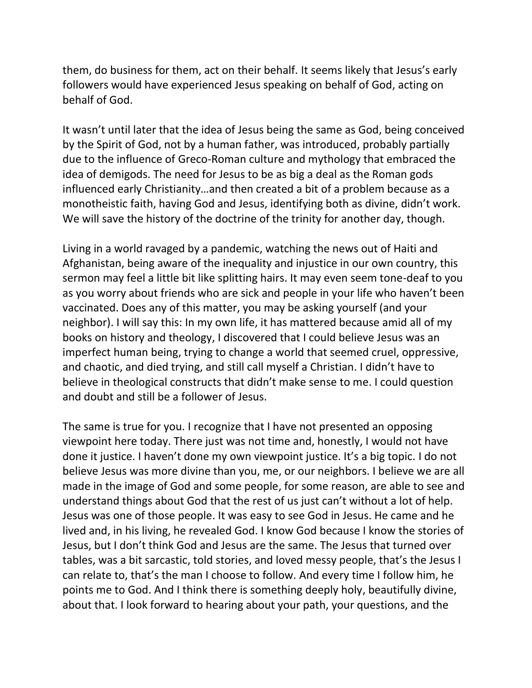them, do business for them, act on their behalf. It seems likely that Jesus's early followers would have experienced Jesus speaking on behalf of God, acting on behalf of God.

It wasn't until later that the idea of Jesus being the same as God, being conceived by the Spirit of God, not by a human father, was introduced, probably partially due to the influence of Greco-Roman culture and mythology that embraced the idea of demigods. The need for Jesus to be as big a deal as the Roman gods influenced early Christianity…and then created a bit of a problem because as a monotheistic faith, having God and Jesus, identifying both as divine, didn't work. We will save the history of the doctrine of the trinity for another day, though.

Living in a world ravaged by a pandemic, watching the news out of Haiti and Afghanistan, being aware of the inequality and injustice in our own country, this sermon may feel a little bit like splitting hairs. It may even seem tone-deaf to you as you worry about friends who are sick and people in your life who haven't been vaccinated. Does any of this matter, you may be asking yourself (and your neighbor). I will say this: In my own life, it has mattered because amid all of my books on history and theology, I discovered that I could believe Jesus was an imperfect human being, trying to change a world that seemed cruel, oppressive, and chaotic, and died trying, and still call myself a Christian. I didn't have to believe in theological constructs that didn't make sense to me. I could question and doubt and still be a follower of Jesus.

The same is true for you. I recognize that I have not presented an opposing viewpoint here today. There just was not time and, honestly, I would not have done it justice. I haven't done my own viewpoint justice. It's a big topic. I do not believe Jesus was more divine than you, me, or our neighbors. I believe we are all made in the image of God and some people, for some reason, are able to see and understand things about God that the rest of us just can't without a lot of help. Jesus was one of those people. It was easy to see God in Jesus. He came and he lived and, in his living, he revealed God. I know God because I know the stories of Jesus, but I don't think God and Jesus are the same. The Jesus that turned over tables, was a bit sarcastic, told stories, and loved messy people, that's the Jesus I can relate to, that's the man I choose to follow. And every time I follow him, he points me to God. And I think there is something deeply holy, beautifully divine, about that. I look forward to hearing about your path, your questions, and the